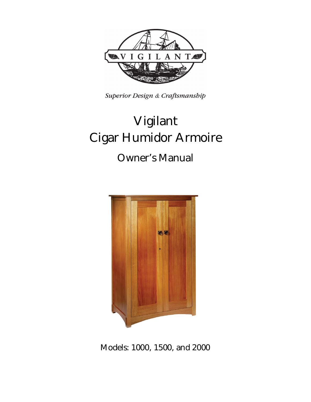

Superior Design & Craftsmanship

# **Vigilant Cigar Humidor Armoire**

## **Owner's Manual**



**Models: 1000, 1500, and 2000**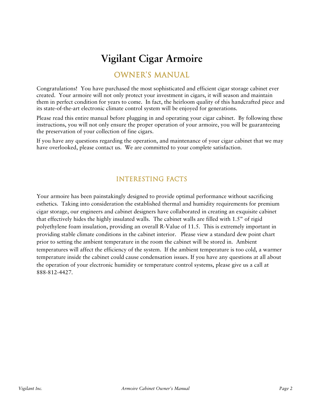## **Vigilant Cigar Armoire**

## Owner's Manual

Congratulations! You have purchased the most sophisticated and efficient cigar storage cabinet ever created. Your armoire will not only protect your investment in cigars, it will season and maintain them in perfect condition for years to come. In fact, the heirloom quality of this handcrafted piece and its state-of-the-art electronic climate control system will be enjoyed for generations.

Please read this entire manual before plugging in and operating your cigar cabinet. By following these instructions, you will not only ensure the proper operation of your armoire, you will be guaranteeing the preservation of your collection of fine cigars.

If you have any questions regarding the operation, and maintenance of your cigar cabinet that we may have overlooked, please contact us. We are committed to your complete satisfaction.

## INTERESTING FACTS

Your armoire has been painstakingly designed to provide optimal performance without sacrificing esthetics. Taking into consideration the established thermal and humidity requirements for premium cigar storage, our engineers and cabinet designers have collaborated in creating an exquisite cabinet that effectively hides the highly insulated walls. The cabinet walls are filled with 1.5" of rigid polyethylene foam insulation, providing an overall R-Value of 11.5. This is extremely important in providing stable climate conditions in the cabinet interior. Please view a standard dew point chart prior to setting the ambient temperature in the room the cabinet will be stored in. Ambient temperatures will affect the efficiency of the system. If the ambient temperature is too cold, a warmer temperature inside the cabinet could cause condensation issues. If you have any questions at all about the operation of your electronic humidity or temperature control systems, please give us a call at 888-812-4427.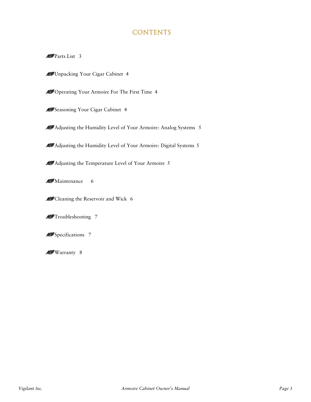## **CONTENTS**

Parts List 3

Unpacking Your Cigar Cabinet 4

Operating Your Armoire For The First Time 4

Seasoning Your Cigar Cabinet 4

Adjusting the Humidity Level of Your Armoire: Analog Systems 5

Adjusting the Humidity Level of Your Armoire: Digital Systems 5

Adjusting the Temperature Level of Your Armoire 5

Maintenance 6

Cleaning the Reservoir and Wick 6

Troubleshooting 7

Specifications 7

**Warranty** 8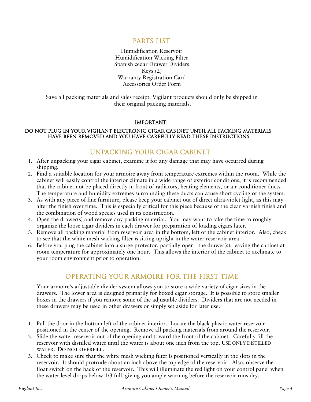## PARTS LIST

Humidification Reservoir Humidification Wicking Filter Spanish cedar Drawer Dividers Keys (2) Warranty Registration Card Accessories Order Form

Save all packing materials and sales receipt. Vigilant products should only be shipped in their original packing materials.

### IMPORTANT!

#### DO NOT PLUG IN YOUR VIGILANT ELECTRONIC CIGAR CABINET UNTIL ALL PACKING MATERIALS HAVE BEEN REMOVED AND YOU HAVE CAREFULLY READ THESE INSTRUCTIONS.

## UNPACKING YOUR Cigar CABINET

- 1. After unpacking your cigar cabinet, examine it for any damage that may have occurred during shipping.
- 2. Find a suitable location for your armoire away from temperature extremes within the room. While the cabinet will easily control the interior climate in a wide range of exterior conditions, it is recommended that the cabinet not be placed directly in front of radiators, heating elements, or air conditioner ducts. The temperature and humidity extremes surrounding these ducts can cause short cycling of the system.
- 3. As with any piece of fine furniture, please keep your cabinet out of direct ultra-violet light, as this may alter the finish over time. This is especially critical for this piece because of the clear varnish finish and the combination of wood species used in its construction.
- 4. Open the drawer(s) and remove any packing material. You may want to take the time to roughly organize the loose cigar dividers in each drawer for preparation of loading cigars later.
- 5. Remove all packing material from reservoir area in the bottom, left of the cabinet interior. Also, check to see that the white mesh wicking filter is sitting upright in the water reservoir area.
- 6. Before you plug the cabinet into a surge protector, partially open the drawer(s), leaving the cabinet at room temperature for approximately one hour. This allows the interior of the cabinet to acclimate to your room environment prior to operation.

## OPERATING YOUR ARMOIRE FOR THE FIRST TIME

Your armoire's adjustable divider system allows you to store a wide variety of cigar sizes in the drawers. The lower area is designed primarily for boxed cigar storage. It is possible to store smaller boxes in the drawers if you remove some of the adjustable dividers. Dividers that are not needed in these drawers may be used in other drawers or simply set aside for later use.

- 1. Pull the door in the bottom left of the cabinet interior. Locate the black plastic water reservoir positioned in the center of the opening. Remove all packing materials from around the reservoir.
- 2. Slide the water reservoir out of the opening and toward the front of the cabinet. Carefully fill the reservoir with distilled water until the water is about one inch from the top. USE ONLY DISTILLED WATER. **DO NOT OVERFILL.**
- 3. Check to make sure that the white mesh wicking filter is positioned vertically in the slots in the reservoir. It should protrude about an inch above the top edge of the reservoir. Also, observe the float switch on the back of the reservoir. This will illuminate the red light on your control panel when the water level drops below 1/3 full, giving you ample warning before the reservoir runs dry.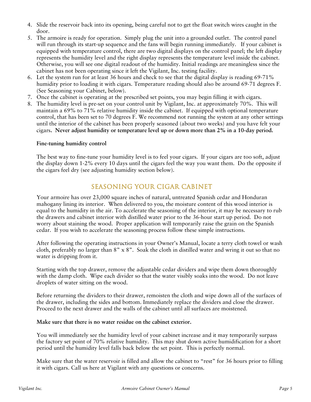- 4. Slide the reservoir back into its opening, being careful not to get the float switch wires caught in the door.
- 5. The armoire is ready for operation. Simply plug the unit into a grounded outlet. The control panel will run through its start-up sequence and the fans will begin running immediately. If your cabinet is equipped with temperature control, there are two digital displays on the control panel; the left display represents the humidity level and the right display represents the temperature level inside the cabinet. Otherwise, you will see one digital readout of the humidity. Initial readings are meaningless since the cabinet has not been operating since it left the Vigilant, Inc. testing facility.
- 6. Let the system run for at least 36 hours and check to see that the digital display is reading 69-71% humidity prior to loading it with cigars. Temperature reading should also be around 69-71 degrees F. (See Seasoning your Cabinet, below).
- 7. Once the cabinet is operating at the prescribed set points, you may begin filling it with cigars.
- 8. The humidity level is pre-set on your control unit by Vigilant, Inc. at approximately 70%. This will maintain a 69% to 71% relative humidity inside the cabinet. If equipped with optional temperature control, that has been set to 70 degrees F. We recommend not running the system at any other settings until the interior of the cabinet has been properly seasoned (about two weeks) and you have felt your cigars**. Never adjust humidity or temperature level up or down more than 2% in a 10-day period.**

#### **Fine-tuning humidity control**

The best way to fine-tune your humidity level is to feel your cigars. If your cigars are too soft, adjust the display down 1-2% every 10 days until the cigars feel the way you want them. Do the opposite if the cigars feel dry (see adjusting humidity section below).

## SEASONING YOUR CIGAR CABINET

Your armoire has over 23,000 square inches of natural, untreated Spanish cedar and Honduran mahogany lining its interior. When delivered to you, the moisture content of this wood interior is equal to the humidity in the air. To accelerate the seasoning of the interior, it may be necessary to rub the drawers and cabinet interior with distilled water prior to the 36-hour start up period. Do not worry about staining the wood. Proper application will temporarily raise the grain on the Spanish cedar. If you wish to accelerate the seasoning process follow these simple instructions.

After following the operating instructions in your Owner's Manual, locate a terry cloth towel or wash cloth, preferably no larger than 8" x 8". Soak the cloth in distilled water and wring it out so that no water is dripping from it.

Starting with the top drawer, remove the adjustable cedar dividers and wipe them down thoroughly with the damp cloth. Wipe each divider so that the water visibly soaks into the wood. Do not leave droplets of water sitting on the wood.

Before returning the dividers to their drawer, remoisten the cloth and wipe down all of the surfaces of the drawer, including the sides and bottom. Immediately replace the dividers and close the drawer. Proceed to the next drawer and the walls of the cabinet until all surfaces are moistened.

#### **Make sure that there is no water residue on the cabinet exterior.**

You will immediately see the humidity level of your cabinet increase and it may temporarily surpass the factory set point of 70% relative humidity. This may shut down active humidification for a short period until the humidity level falls back below the set point. This is perfectly normal.

Make sure that the water reservoir is filled and allow the cabinet to "rest" for 36 hours prior to filling it with cigars. Call us here at Vigilant with any questions or concerns.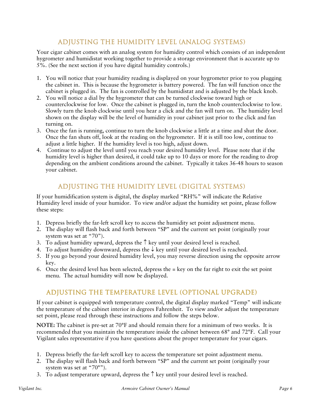## ADJUSTING THE HUMIDITY LEVEL (ANALOG SYSTEMS)

Your cigar cabinet comes with an analog system for humidity control which consists of an independent hygrometer and humidistat working together to provide a storage environment that is accurate up to 5%. (See the next section if you have digital humidity controls.)

- 1. You will notice that your humidity reading is displayed on your hygrometer prior to you plugging the cabinet in. This is because the hygrometer is battery powered. The fan will function once the cabinet is plugged in. The fan is controlled by the humidistat and is adjusted by the black knob.
- 2. You will notice a dial by the hygrometer that can be turned clockwise toward high or counterclockwise for low. Once the cabinet is plugged in, turn the knob counterclockwise to low. Slowly turn the knob clockwise until you hear a click and the fan will turn on. The humidity level shown on the display will be the level of humidity in your cabinet just prior to the click and fan turning on.
- 3. Once the fan is running, continue to turn the knob clockwise a little at a time and shut the door. Once the fan shuts off, look at the reading on the hygrometer. If it is still too low, continue to adjust a little higher. If the humidity level is too high, adjust down.
- 4. Continue to adjust the level until you reach your desired humidity level. Please note that if the humidity level is higher than desired, it could take up to 10 days or more for the reading to drop depending on the ambient conditions around the cabinet. Typically it takes 36-48 hours to season your cabinet.

## ADJUSTING THE HUMIDITY LEVEL (DIGITAL SYSTEMS)

If your humidification system is digital, the display marked "RH%" will indicate the Relative Humidity level inside of your humidor. To view and/or adjust the humidity set point, please follow these steps:

- 1. Depress briefly the far-left scroll key to access the humidity set point adjustment menu.
- 2. The display will flash back and forth between "SP" and the current set point (originally your system was set at "70").
- 3. To adjust humidity upward, depress the ↑ key until your desired level is reached.
- 4. To adjust humidity downward, depress the  $\downarrow$  key until your desired level is reached.
- 5. If you go beyond your desired humidity level, you may reverse direction using the opposite arrow key.
- 6. Once the desired level has been selected, depress the = key on the far right to exit the set point menu. The actual humidity will now be displayed.

## ADJUSTING THE TEMPERATURE LEVEL (Optional Upgrade)

If your cabinet is equipped with temperature control, the digital display marked "Temp" will indicate the temperature of the cabinet interior in degrees Fahrenheit. To view and/or adjust the temperature set point, please read through these instructions and follow the steps below.

**NOTE:** The cabinet is pre-set at 70°F and should remain there for a minimum of two weeks. It is recommended that you maintain the temperature inside the cabinet between 68° and 72°F. Call your Vigilant sales representative if you have questions about the proper temperature for your cigars.

- 1. Depress briefly the far-left scroll key to access the temperature set point adjustment menu.
- 2. The display will flash back and forth between "SP" and the current set point (originally your system was set at "70°").
- 3. To adjust temperature upward, depress the  $\uparrow$  key until your desired level is reached.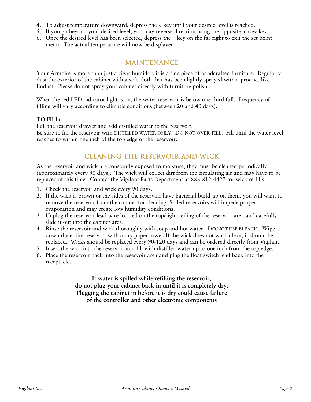- 4. To adjust temperature downward, depress the  $\downarrow$  key until your desired level is reached.
- 5. If you go beyond your desired level, you may reverse direction using the opposite arrow key.
- 6. Once the desired level has been selected, depress the = key on the far right to exit the set point menu. The actual temperature will now be displayed.

## MAINTENANCE

Your Armoire is more than just a cigar humidor; it is a fine piece of handcrafted furniture. Regularly dust the exterior of the cabinet with a soft cloth that has been lightly sprayed with a product like Endust. Please do not spray your cabinet directly with furniture polish.

When the red LED indicator light is on, the water reservoir is below one third full. Frequency of filling will vary according to climatic conditions (between 20 and 40 days).

#### **TO FILL:**

Pull the reservoir drawer and add distilled water to the reservoir.

Be sure to fill the reservoir with DISTILLED WATER ONLY. DO NOT OVER-FILL. Fill until the water level reaches to within one inch of the top edge of the reservoir.

## CLEANING THE RESERVOIR AND WICK

As the reservoir and wick are constantly exposed to moisture, they must be cleaned periodically (approximately every 90 days). The wick will collect dirt from the circulating air and may have to be replaced at this time. Contact the Vigilant Parts Department at 888-812-4427 for wick re-fills.

- 1. Check the reservoir and wick every 90 days.
- 2. If the wick is brown or the sides of the reservoir have bacterial build-up on them, you will want to remove the reservoir from the cabinet for cleaning. Soiled reservoirs will impede proper evaporation and may create low humidity conditions.
- 3. Unplug the reservoir lead wire located on the top/right ceiling of the reservoir area and carefully slide it out into the cabinet area.
- 4. Rinse the reservoir and wick thoroughly with soap and hot water. DO NOT USE BLEACH. Wipe down the entire reservoir with a dry paper towel. If the wick does not wash clean, it should be replaced. Wicks should be replaced every 90-120 days and can be ordered directly from Vigilant.
- 5. Insert the wick into the reservoir and fill with distilled water up to one inch from the top edge.
- 6. Place the reservoir back into the reservoir area and plug the float switch lead back into the receptacle.

**If water is spilled while refilling the reservoir, do not plug your cabinet back in until it is completely dry. Plugging the cabinet in before it is dry could cause failure of the controller and other electronic components**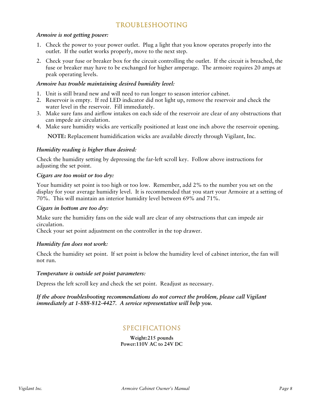## TROUBLESHOOTING

#### *Armoire is not getting power:*

- 1. Check the power to your power outlet. Plug a light that you know operates properly into the outlet. If the outlet works properly, move to the next step.
- 2. Check your fuse or breaker box for the circuit controlling the outlet. If the circuit is breached, the fuse or breaker may have to be exchanged for higher amperage. The armoire requires 20 amps at peak operating levels.

#### *Armoire has trouble maintaining desired humidity level:*

- 1. Unit is still brand new and will need to run longer to season interior cabinet.
- 2. Reservoir is empty. If red LED indicator did not light up, remove the reservoir and check the water level in the reservoir. Fill immediately.
- 3. Make sure fans and airflow intakes on each side of the reservoir are clear of any obstructions that can impede air circulation.
- 4. Make sure humidity wicks are vertically positioned at least one inch above the reservoir opening.

**NOTE:** Replacement humidification wicks are available directly through Vigilant, Inc.

#### *Humidity reading is higher than desired:*

Check the humidity setting by depressing the far-left scroll key. Follow above instructions for adjusting the set point.

#### *Cigars are too moist or too dry:*

Your humidity set point is too high or too low. Remember, add 2% to the number you set on the display for your average humidity level. It is recommended that you start your Armoire at a setting of 70%. This will maintain an interior humidity level between 69% and 71%.

#### *Cigars in bottom are too dry:*

Make sure the humidity fans on the side wall are clear of any obstructions that can impede air circulation.

Check your set point adjustment on the controller in the top drawer.

#### *Humidity fan does not work:*

Check the humidity set point. If set point is below the humidity level of cabinet interior, the fan will not run.

#### *Temperature is outside set point parameters:*

Depress the left scroll key and check the set point. Readjust as necessary.

*If the above troubleshooting recommendations do not correct the problem, please call Vigilant immediately at 1-888-812-4427. A service representative will help you.* 

## SPECIFICATIONS

**Weight:215 pounds Power:110V AC to 24V DC**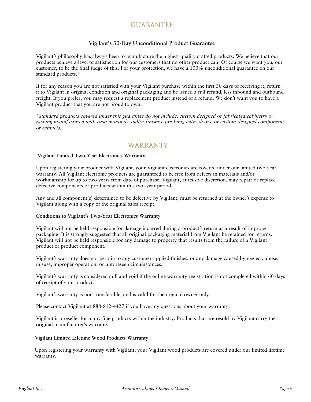## **GUARANTEE**

#### **Vigilant's 30-Day Unconditional Product Guarantee**

Vigilant's philosophy has always been to manufacture the highest quality crafted products. We believe that our products achieve a level of satisfaction for our customers that no other product can. Of course we want you, our customer, to be the final judge of this. For your protection, we have a 100% unconditional guarantee on our standard products.\*

If for any reason you are not satisfied with your Vigilant purchase within the first 30 days of receiving it, return it to Vigilant in original condition and original packaging and be issued a full refund, less inbound and outbound freight. If you prefer, you may request a replacement product instead of a refund. We don't want you to have a Vigilant product that you are not proud to own.

*\*Standard products covered under this guarantee do not include: custom designed or fabricated cabinetry or racking manufactured with custom woods and/or finishes; pre-hung entry doors; or custom-designed components or cabinets.*

## **WARRANTY**

#### **Vigilant Limited Two-Year Electronics Warranty**

Upon registering your product with Vigilant, your Vigilant electronics are covered under our limited two-year warranty. All Vigilant electronic products are guaranteed to be free from defects in materials and/or workmanship for up to two years from date of purchase. Vigilant, at its sole discretion, may repair or replace defective components or products within this two-year period.

Any and all component(s) determined to be defective by Vigilant, must be returned at the owner's expense to Vigilant along with a copy of the original sales receipt.

#### **Conditions to Vigilant's Two-Year Electronics Warranty**

Vigilant will not be held responsible for damage incurred during a product's return as a result of improper packaging. It is strongly suggested that all original packaging material from Vigilant be retained for returns. Vigilant will not be held responsible for any damage to property that results from the failure of a Vigilant product or product component.

Vigilant's warranty does not pertain to any customer-applied finishes, or any damage caused by neglect, abuse, misuse, improper operation, or unforeseen circumstances.

Vigilant's warranty is considered null and void if the online warranty registration is not completed within 60 days of receipt of your product.

Vigilant's warranty is non-transferable, and is valid for the original owner only.

Please contact Vigilant at 888-812-4427 if you have any questions about your warranty.

Vigilant is a reseller for many fine products within the industry. Products that are resold by Vigilant carry the original manufacturer's warranty.

#### **Vigilant Limited Lifetime Wood Products Warranty**

Upon registering your warranty with Vigilant, your Vigilant wood products are covered under our limited lifetime warranty.